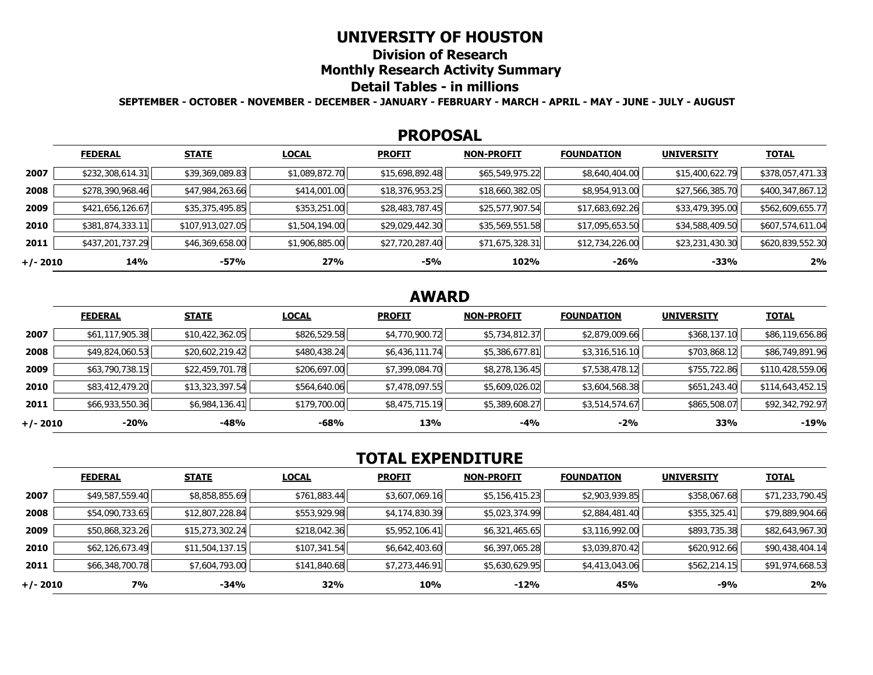## **UNIVERSITY OF HOUSTON**

**Division of Research** 

**Monthly Research Activity Summary** 

## **Detail Tables - in millions**

**SEPTEMBER - OCTOBER - NOVEMBER - DECEMBER - JANUARY - FEBRUARY - MARCH - APRIL - MAY - JUNE - JULY - AUGUST** 

#### **PROPOSAL**

|            | <b>FEDERAL</b>   | <b>STATE</b>     | <b>LOCAL</b>   | <b>PROFIT</b>   | <b>NON-PROFIT</b> | <b>FOUNDATION</b> | <b>UNIVERSITY</b> | <u>TOTAL</u>     |
|------------|------------------|------------------|----------------|-----------------|-------------------|-------------------|-------------------|------------------|
| 2007       | \$232,308,614.31 | \$39,369,089.83  | \$1,089,872.70 | \$15,698,892.48 | \$65,549,975.22   | \$8,640,404.00    | \$15,400,622.79   | \$378,057,471.33 |
| 2008       | \$278,390,968.46 | \$47,984,263.66  | \$414,001.00   | \$18,376,953.25 | \$18,660,382.05   | \$8,954,913.00    | \$27,566,385.70   | \$400,347,867.12 |
| 2009       | \$421,656,126.67 | \$35,375,495.85  | \$353,251.00   | \$28,483,787.45 | \$25,577,907.54   | \$17,683,692.26   | \$33,479,395.00   | \$562,609,655.77 |
| 2010       | \$381,874,333.11 | \$107,913,027.05 | \$1,504,194.00 | \$29,029,442.30 | \$35,569,551.58   | \$17,095,653.50   | \$34,588,409.50   | \$607,574,611.04 |
| 2011       | \$437,201,737.29 | \$46,369,658.00  | \$1,906,885.00 | \$27,720,287.40 | \$71,675,328.31   | \$12,734,226.00   | \$23,231,430.30   | \$620,839,552.30 |
| $+/- 2010$ | 14%              | $-57%$           | 27%            | -5%             | 102%              | $-26%$            | -33%              | 2%               |

## **AWARD**

|          | <b>FEDERAL</b>  | <b>STATE</b>    | <b>LOCAL</b> | <b>PROFIT</b>  | <b>NON-PROFIT</b> | <b>FOUNDATION</b> | <b>UNIVERSITY</b> | <b>TOTAL</b>     |
|----------|-----------------|-----------------|--------------|----------------|-------------------|-------------------|-------------------|------------------|
| 2007     | \$61,117,905.38 | \$10,422,362.05 | \$826,529.58 | \$4,770,900.72 | \$5,734,812.37    | \$2,879,009.66    | \$368,137.10      | \$86,119,656.86  |
| 2008     | \$49,824,060.53 | \$20,602,219.42 | \$480,438.24 | \$6,436,111.74 | \$5,386,677.81    | \$3,316,516.10    | \$703,868.12      | \$86,749,891.96  |
| 2009     | \$63,790,738.15 | \$22,459,701.78 | \$206,697.00 | \$7,399,084.70 | \$8,278,136.45    | \$7,538,478.12    | \$755,722.86      | \$110,428,559.06 |
| 2010     | \$83,412,479.20 | \$13,323,397.54 | \$564,640.06 | \$7,478,097.55 | \$5,609,026.02    | \$3,604,568.38    | \$651,243.40      | \$114,643,452.15 |
| 2011     | \$66,933,550.36 | \$6,984,136.41  | \$179,700.00 | \$8,475,715.19 | \$5,389,608.27    | \$3,514,574.67    | \$865,508.07      | \$92,342,792.97  |
| +/- 2010 | $-20%$          | -48%            | -68%         | 13%            | -4%               | $-2%$             | 33%               | $-19%$           |

# **TOTAL EXPENDITURE**

|          | <b>FEDERAL</b>  | <b>STATE</b>    | <b>LOCAL</b> | <b>PROFIT</b>  | <b>NON-PROFIT</b> | <b>FOUNDATION</b> | <b>UNIVERSITY</b> | <b>TOTAL</b>    |
|----------|-----------------|-----------------|--------------|----------------|-------------------|-------------------|-------------------|-----------------|
| 2007     | \$49,587,559.40 | \$8,858,855.69  | \$761,883.44 | \$3,607,069.16 | \$5,156,415.23    | \$2,903,939.85    | \$358,067.68      | \$71,233,790.45 |
| 2008     | \$54,090,733.65 | \$12,807,228.84 | \$553,929.98 | \$4,174,830.39 | \$5,023,374.99    | \$2,884,481.40    | \$355,325.41      | \$79,889,904.66 |
| 2009     | \$50,868,323.26 | \$15,273,302.24 | \$218,042.36 | \$5,952,106.41 | \$6,321,465.65    | \$3,116,992.00    | \$893,735.38      | \$82,643,967.30 |
| 2010     | \$62,126,673.49 | \$11,504,137.15 | \$107,341.54 | \$6,642,403.60 | \$6,397,065.28    | \$3,039,870.42    | \$620,912.66      | \$90,438,404.14 |
| 2011     | \$66,348,700.78 | \$7,604,793.00  | \$141,840.68 | \$7,273,446.91 | \$5,630,629.95    | \$4,413,043.06    | \$562,214.15      | \$91,974,668.53 |
| +/- 2010 | <b>7%</b>       | $-34%$          | 32%          | 10%            | $-12%$            | 45%               | -9%               | 2%              |